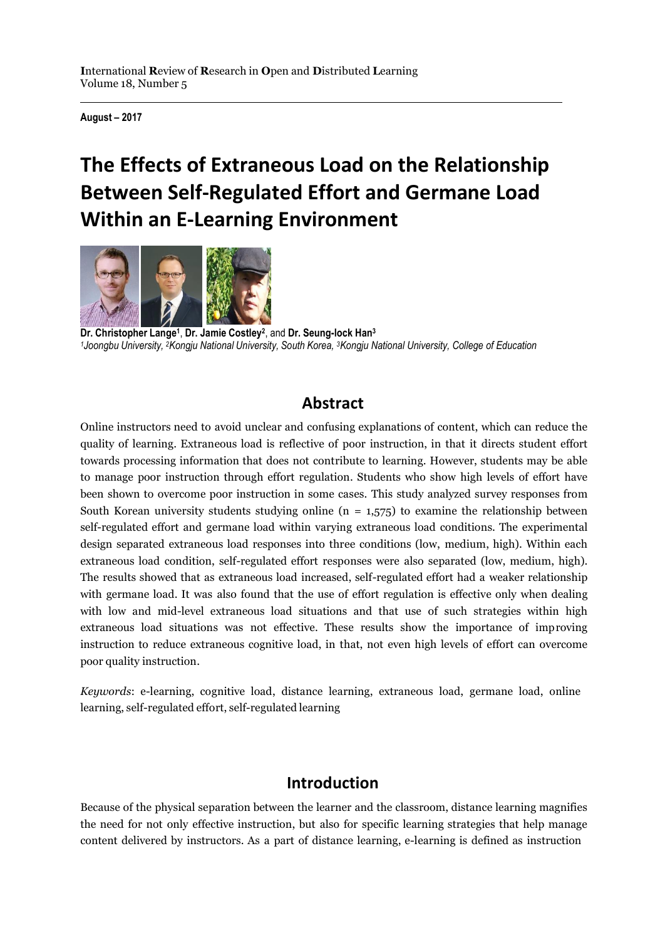**August – 2017**

# **The Effects of Extraneous Load on the Relationship Between Self-Regulated Effort and Germane Load Within an E-Learning Environment**



**Dr. Christopher Lange<sup>1</sup>** , **Dr. Jamie Costley 2** , and **Dr. Seung-lock Han<sup>3</sup>** *<sup>1</sup>Joongbu University, <sup>2</sup>Kongju National University, South Korea, <sup>3</sup>Kongju National University, College of Education*

## **Abstract**

Online instructors need to avoid unclear and confusing explanations of content, which can reduce the quality of learning. Extraneous load is reflective of poor instruction, in that it directs student effort towards processing information that does not contribute to learning. However, students may be able to manage poor instruction through effort regulation. Students who show high levels of effort have been shown to overcome poor instruction in some cases. This study analyzed survey responses from South Korean university students studying online  $(n = 1.575)$  to examine the relationship between self-regulated effort and germane load within varying extraneous load conditions. The experimental design separated extraneous load responses into three conditions (low, medium, high). Within each extraneous load condition, self-regulated effort responses were also separated (low, medium, high). The results showed that as extraneous load increased, self-regulated effort had a weaker relationship with germane load. It was also found that the use of effort regulation is effective only when dealing with low and mid-level extraneous load situations and that use of such strategies within high extraneous load situations was not effective. These results show the importance of improving instruction to reduce extraneous cognitive load, in that, not even high levels of effort can overcome poor quality instruction.

*Keywords*: e-learning, cognitive load, distance learning, extraneous load, germane load, online learning, self-regulated effort, self-regulated learning

## **Introduction**

Because of the physical separation between the learner and the classroom, distance learning magnifies the need for not only effective instruction, but also for specific learning strategies that help manage content delivered by instructors. As a part of distance learning, e-learning is defined as instruction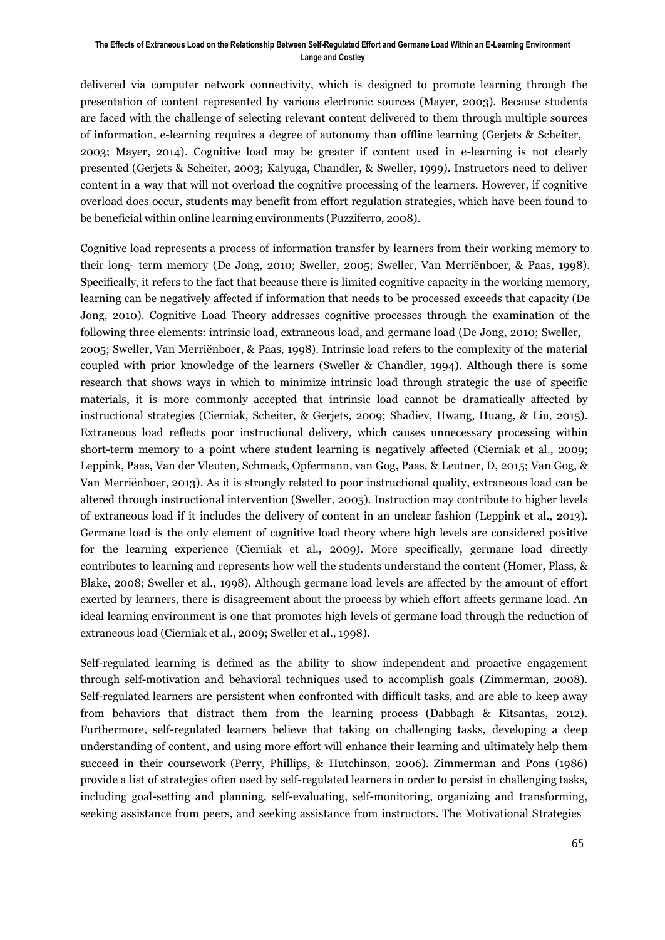delivered via computer network connectivity, which is designed to promote learning through the presentation of content represented by various electronic sources (Mayer, 2003). Because students are faced with the challenge of selecting relevant content delivered to them through multiple sources of information, e-learning requires a degree of autonomy than offline learning (Gerjets & Scheiter, 2003; Mayer, 2014). Cognitive load may be greater if content used in e-learning is not clearly presented (Gerjets & Scheiter, 2003; Kalyuga, Chandler, & Sweller, 1999). Instructors need to deliver content in a way that will not overload the cognitive processing of the learners. However, if cognitive overload does occur, students may benefit from effort regulation strategies, which have been found to be beneficial within online learning environments (Puzziferro, 2008).

Cognitive load represents a process of information transfer by learners from their working memory to their long- term memory (De Jong, 2010; Sweller, 2005; Sweller, Van Merriënboer, & Paas, 1998). Specifically, it refers to the fact that because there is limited cognitive capacity in the working memory, learning can be negatively affected if information that needs to be processed exceeds that capacity (De Jong, 2010). Cognitive Load Theory addresses cognitive processes through the examination of the following three elements: intrinsic load, extraneous load, and germane load (De Jong, 2010; Sweller, 2005; Sweller, Van Merriënboer, & Paas, 1998). Intrinsic load refers to the complexity of the material coupled with prior knowledge of the learners (Sweller & Chandler, 1994). Although there is some research that shows ways in which to minimize intrinsic load through strategic the use of specific materials, it is more commonly accepted that intrinsic load cannot be dramatically affected by instructional strategies (Cierniak, Scheiter, & Gerjets, 2009; Shadiev, Hwang, Huang, & Liu, 2015). Extraneous load reflects poor instructional delivery, which causes unnecessary processing within short-term memory to a point where student learning is negatively affected (Cierniak et al., 2009; Leppink, Paas, Van der Vleuten, Schmeck, Opfermann, van Gog, Paas, & Leutner, D, 2015; Van Gog, & Van Merriënboer, 2013). As it is strongly related to poor instructional quality, extraneous load can be altered through instructional intervention (Sweller, 2005). Instruction may contribute to higher levels of extraneous load if it includes the delivery of content in an unclear fashion (Leppink et al., 2013). Germane load is the only element of cognitive load theory where high levels are considered positive for the learning experience (Cierniak et al., 2009). More specifically, germane load directly contributes to learning and represents how well the students understand the content (Homer, Plass, & Blake, 2008; Sweller et al., 1998). Although germane load levels are affected by the amount of effort exerted by learners, there is disagreement about the process by which effort affects germane load. An ideal learning environment is one that promotes high levels of germane load through the reduction of extraneous load (Cierniak et al., 2009; Sweller et al., 1998).

Self-regulated learning is defined as the ability to show independent and proactive engagement through self-motivation and behavioral techniques used to accomplish goals (Zimmerman, 2008). Self-regulated learners are persistent when confronted with difficult tasks, and are able to keep away from behaviors that distract them from the learning process (Dabbagh & Kitsantas, 2012). Furthermore, self-regulated learners believe that taking on challenging tasks, developing a deep understanding of content, and using more effort will enhance their learning and ultimately help them succeed in their coursework (Perry, Phillips, & Hutchinson, 2006). Zimmerman and Pons (1986) provide a list of strategies often used by self-regulated learners in order to persist in challenging tasks, including goal-setting and planning, self-evaluating, self-monitoring, organizing and transforming, seeking assistance from peers, and seeking assistance from instructors. The Motivational Strategies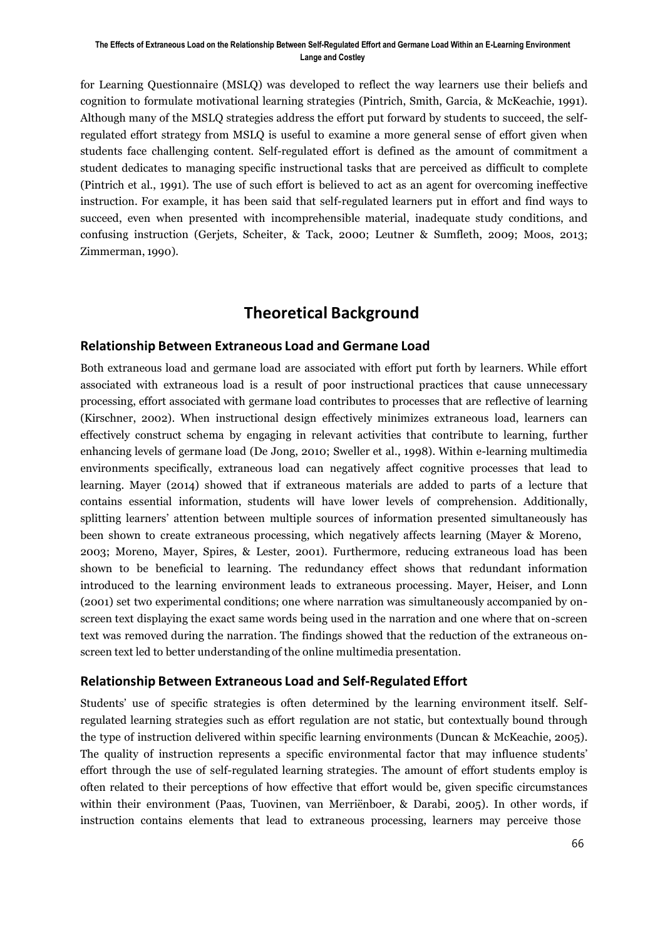for Learning Questionnaire (MSLQ) was developed to reflect the way learners use their beliefs and cognition to formulate motivational learning strategies (Pintrich, Smith, Garcia, & McKeachie, 1991). Although many of the MSLQ strategies address the effort put forward by students to succeed, the selfregulated effort strategy from MSLQ is useful to examine a more general sense of effort given when students face challenging content. Self-regulated effort is defined as the amount of commitment a student dedicates to managing specific instructional tasks that are perceived as difficult to complete (Pintrich et al., 1991). The use of such effort is believed to act as an agent for overcoming ineffective instruction. For example, it has been said that self-regulated learners put in effort and find ways to succeed, even when presented with incomprehensible material, inadequate study conditions, and confusing instruction (Gerjets, Scheiter, & Tack, 2000; Leutner & Sumfleth, 2009; Moos, 2013; Zimmerman, 1990).

## **Theoretical Background**

#### **Relationship Between Extraneous Load and Germane Load**

Both extraneous load and germane load are associated with effort put forth by learners. While effort associated with extraneous load is a result of poor instructional practices that cause unnecessary processing, effort associated with germane load contributes to processes that are reflective of learning (Kirschner, 2002). When instructional design effectively minimizes extraneous load, learners can effectively construct schema by engaging in relevant activities that contribute to learning, further enhancing levels of germane load (De Jong, 2010; Sweller et al., 1998). Within e-learning multimedia environments specifically, extraneous load can negatively affect cognitive processes that lead to learning. Mayer (2014) showed that if extraneous materials are added to parts of a lecture that contains essential information, students will have lower levels of comprehension. Additionally, splitting learners' attention between multiple sources of information presented simultaneously has been shown to create extraneous processing, which negatively affects learning (Mayer & Moreno, 2003; Moreno, Mayer, Spires, & Lester, 2001). Furthermore, reducing extraneous load has been shown to be beneficial to learning. The redundancy effect shows that redundant information introduced to the learning environment leads to extraneous processing. Mayer, Heiser, and Lonn (2001) set two experimental conditions; one where narration was simultaneously accompanied by onscreen text displaying the exact same words being used in the narration and one where that on-screen text was removed during the narration. The findings showed that the reduction of the extraneous onscreen text led to better understanding of the online multimedia presentation.

#### **Relationship Between Extraneous Load and Self-Regulated Effort**

Students' use of specific strategies is often determined by the learning environment itself. Selfregulated learning strategies such as effort regulation are not static, but contextually bound through the type of instruction delivered within specific learning environments (Duncan & McKeachie, 2005). The quality of instruction represents a specific environmental factor that may influence students' effort through the use of self-regulated learning strategies. The amount of effort students employ is often related to their perceptions of how effective that effort would be, given specific circumstances within their environment (Paas, Tuovinen, van Merriënboer, & Darabi, 2005). In other words, if instruction contains elements that lead to extraneous processing, learners may perceive those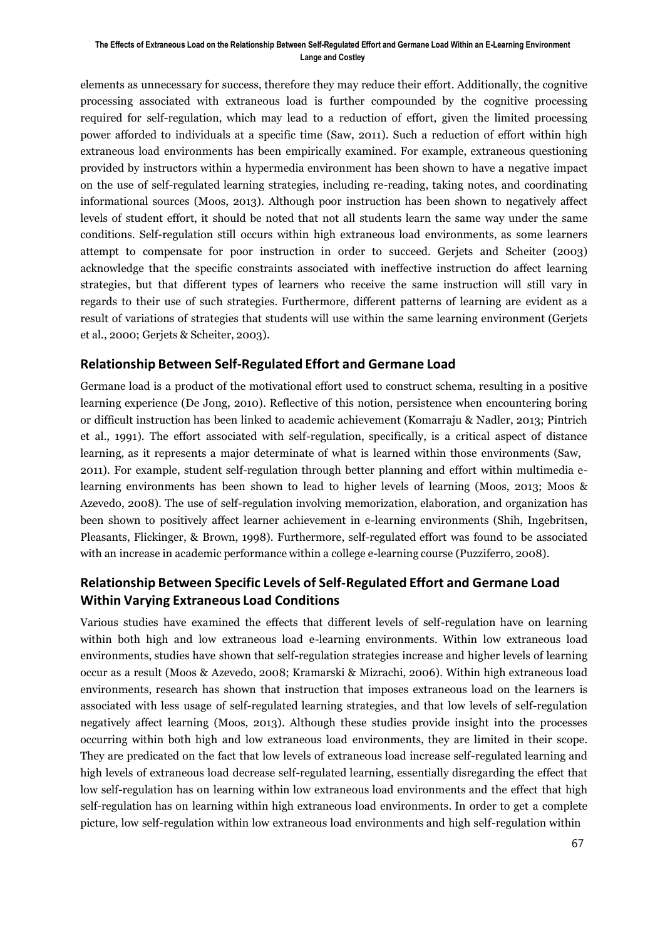elements as unnecessary for success, therefore they may reduce their effort. Additionally, the cognitive processing associated with extraneous load is further compounded by the cognitive processing required for self-regulation, which may lead to a reduction of effort, given the limited processing power afforded to individuals at a specific time (Saw, 2011). Such a reduction of effort within high extraneous load environments has been empirically examined. For example, extraneous questioning provided by instructors within a hypermedia environment has been shown to have a negative impact on the use of self-regulated learning strategies, including re-reading, taking notes, and coordinating informational sources (Moos, 2013). Although poor instruction has been shown to negatively affect levels of student effort, it should be noted that not all students learn the same way under the same conditions. Self-regulation still occurs within high extraneous load environments, as some learners attempt to compensate for poor instruction in order to succeed. Gerjets and Scheiter (2003) acknowledge that the specific constraints associated with ineffective instruction do affect learning strategies, but that different types of learners who receive the same instruction will still vary in regards to their use of such strategies. Furthermore, different patterns of learning are evident as a result of variations of strategies that students will use within the same learning environment (Gerjets et al., 2000; Gerjets & Scheiter, 2003).

### **Relationship Between Self-Regulated Effort and Germane Load**

Germane load is a product of the motivational effort used to construct schema, resulting in a positive learning experience (De Jong, 2010). Reflective of this notion, persistence when encountering boring or difficult instruction has been linked to academic achievement (Komarraju & Nadler, 2013; Pintrich et al., 1991). The effort associated with self-regulation, specifically, is a critical aspect of distance learning, as it represents a major determinate of what is learned within those environments (Saw, 2011). For example, student self-regulation through better planning and effort within multimedia elearning environments has been shown to lead to higher levels of learning (Moos, 2013; Moos & Azevedo, 2008). The use of self-regulation involving memorization, elaboration, and organization has been shown to positively affect learner achievement in e-learning environments (Shih, Ingebritsen, Pleasants, Flickinger, & Brown, 1998). Furthermore, self-regulated effort was found to be associated with an increase in academic performance within a college e-learning course (Puzziferro, 2008).

### **Relationship Between Specific Levels of Self-Regulated Effort and Germane Load Within Varying Extraneous Load Conditions**

Various studies have examined the effects that different levels of self-regulation have on learning within both high and low extraneous load e-learning environments. Within low extraneous load environments, studies have shown that self-regulation strategies increase and higher levels of learning occur as a result (Moos & Azevedo, 2008; Kramarski & Mizrachi, 2006). Within high extraneous load environments, research has shown that instruction that imposes extraneous load on the learners is associated with less usage of self-regulated learning strategies, and that low levels of self-regulation negatively affect learning (Moos, 2013). Although these studies provide insight into the processes occurring within both high and low extraneous load environments, they are limited in their scope. They are predicated on the fact that low levels of extraneous load increase self-regulated learning and high levels of extraneous load decrease self-regulated learning, essentially disregarding the effect that low self-regulation has on learning within low extraneous load environments and the effect that high self-regulation has on learning within high extraneous load environments. In order to get a complete picture, low self-regulation within low extraneous load environments and high self-regulation within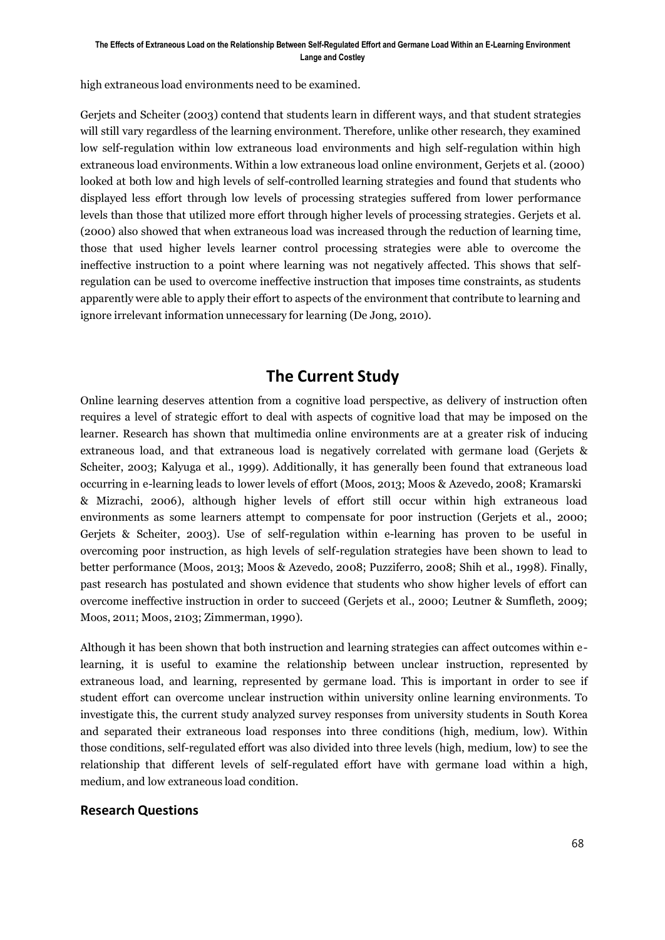high extraneous load environments need to be examined.

Gerjets and Scheiter (2003) contend that students learn in different ways, and that student strategies will still vary regardless of the learning environment. Therefore, unlike other research, they examined low self-regulation within low extraneous load environments and high self-regulation within high extraneous load environments. Within a low extraneous load online environment, Gerjets et al. (2000) looked at both low and high levels of self-controlled learning strategies and found that students who displayed less effort through low levels of processing strategies suffered from lower performance levels than those that utilized more effort through higher levels of processing strategies. Gerjets et al. (2000) also showed that when extraneous load was increased through the reduction of learning time, those that used higher levels learner control processing strategies were able to overcome the ineffective instruction to a point where learning was not negatively affected. This shows that selfregulation can be used to overcome ineffective instruction that imposes time constraints, as students apparently were able to apply their effort to aspects of the environment that contribute to learning and ignore irrelevant information unnecessary for learning (De Jong, 2010).

## **The Current Study**

Online learning deserves attention from a cognitive load perspective, as delivery of instruction often requires a level of strategic effort to deal with aspects of cognitive load that may be imposed on the learner. Research has shown that multimedia online environments are at a greater risk of inducing extraneous load, and that extraneous load is negatively correlated with germane load (Gerjets & Scheiter, 2003; Kalyuga et al., 1999). Additionally, it has generally been found that extraneous load occurring in e-learning leads to lower levels of effort (Moos, 2013; Moos & Azevedo, 2008; Kramarski & Mizrachi, 2006), although higher levels of effort still occur within high extraneous load environments as some learners attempt to compensate for poor instruction (Gerjets et al., 2000; Gerjets & Scheiter, 2003). Use of self-regulation within e-learning has proven to be useful in overcoming poor instruction, as high levels of self-regulation strategies have been shown to lead to better performance (Moos, 2013; Moos & Azevedo, 2008; Puzziferro, 2008; Shih et al., 1998). Finally, past research has postulated and shown evidence that students who show higher levels of effort can overcome ineffective instruction in order to succeed (Gerjets et al., 2000; Leutner & Sumfleth, 2009; Moos, 2011; Moos, 2103; Zimmerman, 1990).

Although it has been shown that both instruction and learning strategies can affect outcomes within elearning, it is useful to examine the relationship between unclear instruction, represented by extraneous load, and learning, represented by germane load. This is important in order to see if student effort can overcome unclear instruction within university online learning environments. To investigate this, the current study analyzed survey responses from university students in South Korea and separated their extraneous load responses into three conditions (high, medium, low). Within those conditions, self-regulated effort was also divided into three levels (high, medium, low) to see the relationship that different levels of self-regulated effort have with germane load within a high, medium, and low extraneous load condition.

### **Research Questions**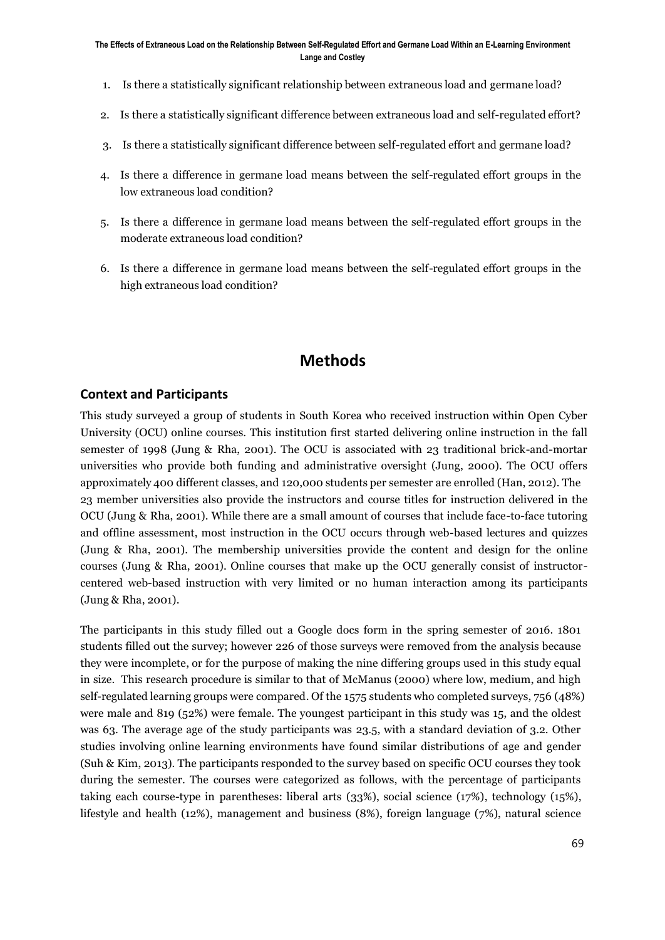- 1. Is there a statistically significant relationship between extraneous load and germane load?
- 2. Is there a statistically significant difference between extraneous load and self-regulated effort?
- 3. Is there a statistically significant difference between self-regulated effort and germane load?
- 4. Is there a difference in germane load means between the self-regulated effort groups in the low extraneous load condition?
- 5. Is there a difference in germane load means between the self-regulated effort groups in the moderate extraneous load condition?
- 6. Is there a difference in germane load means between the self-regulated effort groups in the high extraneous load condition?

## **Methods**

#### **Context and Participants**

This study surveyed a group of students in South Korea who received instruction within Open Cyber University (OCU) online courses. This institution first started delivering online instruction in the fall semester of 1998 (Jung & Rha, 2001). The OCU is associated with 23 traditional brick-and-mortar universities who provide both funding and administrative oversight (Jung, 2000). The OCU offers approximately 400 different classes, and 120,000 students per semester are enrolled (Han, 2012). The 23 member universities also provide the instructors and course titles for instruction delivered in the OCU (Jung & Rha, 2001). While there are a small amount of courses that include face-to-face tutoring and offline assessment, most instruction in the OCU occurs through web-based lectures and quizzes (Jung & Rha, 2001). The membership universities provide the content and design for the online courses (Jung & Rha, 2001). Online courses that make up the OCU generally consist of instructorcentered web-based instruction with very limited or no human interaction among its participants (Jung & Rha, 2001).

The participants in this study filled out a Google docs form in the spring semester of 2016. 1801 students filled out the survey; however 226 of those surveys were removed from the analysis because they were incomplete, or for the purpose of making the nine differing groups used in this study equal in size. This research procedure is similar to that of McManus (2000) where low, medium, and high self-regulated learning groups were compared. Of the 1575 students who completed surveys, 756 (48%) were male and 819 (52%) were female. The youngest participant in this study was 15, and the oldest was 63. The average age of the study participants was 23.5, with a standard deviation of 3.2. Other studies involving online learning environments have found similar distributions of age and gender (Suh & Kim, 2013). The participants responded to the survey based on specific OCU courses they took during the semester. The courses were categorized as follows, with the percentage of participants taking each course-type in parentheses: liberal arts (33%), social science (17%), technology (15%), lifestyle and health (12%), management and business (8%), foreign language (7%), natural science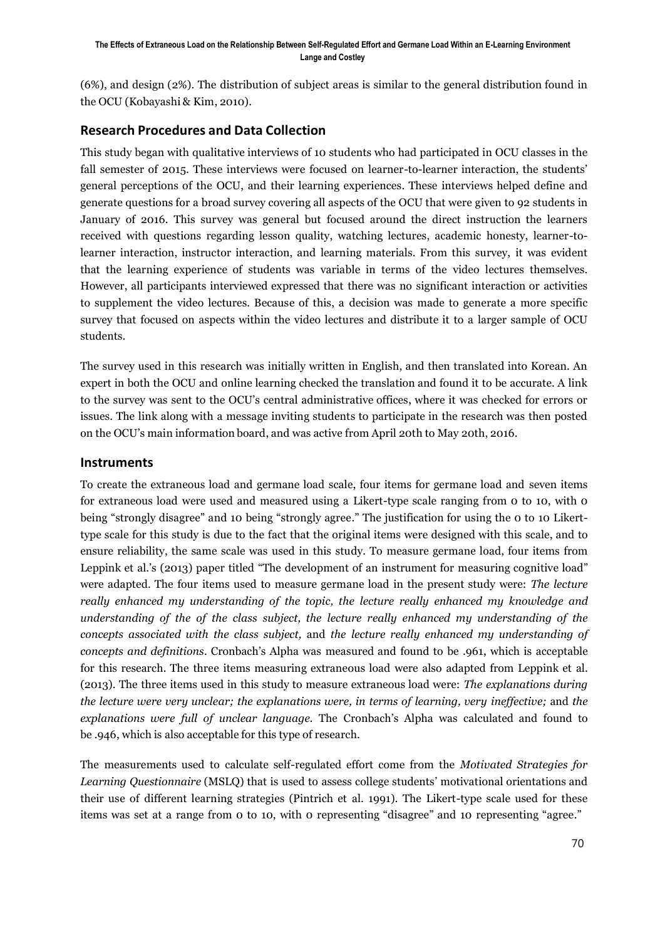(6%), and design (2%). The distribution of subject areas is similar to the general distribution found in the OCU (Kobayashi & Kim, 2010).

### **Research Procedures and Data Collection**

This study began with qualitative interviews of 10 students who had participated in OCU classes in the fall semester of 2015. These interviews were focused on learner-to-learner interaction, the students' general perceptions of the OCU, and their learning experiences. These interviews helped define and generate questions for a broad survey covering all aspects of the OCU that were given to 92 students in January of 2016. This survey was general but focused around the direct instruction the learners received with questions regarding lesson quality, watching lectures, academic honesty, learner-tolearner interaction, instructor interaction, and learning materials. From this survey, it was evident that the learning experience of students was variable in terms of the video lectures themselves. However, all participants interviewed expressed that there was no significant interaction or activities to supplement the video lectures. Because of this, a decision was made to generate a more specific survey that focused on aspects within the video lectures and distribute it to a larger sample of OCU students.

The survey used in this research was initially written in English, and then translated into Korean. An expert in both the OCU and online learning checked the translation and found it to be accurate. A link to the survey was sent to the OCU's central administrative offices, where it was checked for errors or issues. The link along with a message inviting students to participate in the research was then posted on the OCU's main information board, and was active from April 20th to May 20th, 2016.

#### **Instruments**

To create the extraneous load and germane load scale, four items for germane load and seven items for extraneous load were used and measured using a Likert-type scale ranging from 0 to 10, with 0 being "strongly disagree" and 10 being "strongly agree." The justification for using the 0 to 10 Likerttype scale for this study is due to the fact that the original items were designed with this scale, and to ensure reliability, the same scale was used in this study. To measure germane load, four items from Leppink et al.'s (2013) paper titled "The development of an instrument for measuring cognitive load" were adapted. The four items used to measure germane load in the present study were: *The lecture really enhanced my understanding of the topic, the lecture really enhanced my knowledge and understanding of the of the class subject, the lecture really enhanced my understanding of the concepts associated with the class subject,* and *the lecture really enhanced my understanding of concepts and definitions*. Cronbach's Alpha was measured and found to be .961, which is acceptable for this research. The three items measuring extraneous load were also adapted from Leppink et al. (2013). The three items used in this study to measure extraneous load were: *The explanations during the lecture were very unclear; the explanations were, in terms of learning, very ineffective;* and *the explanations were full of unclear language.* The Cronbach's Alpha was calculated and found to be .946, which is also acceptable for this type of research.

The measurements used to calculate self-regulated effort come from the *Motivated Strategies for Learning Questionnaire* (MSLQ) that is used to assess college students' motivational orientations and their use of different learning strategies (Pintrich et al. 1991). The Likert-type scale used for these items was set at a range from 0 to 10, with 0 representing "disagree" and 10 representing "agree."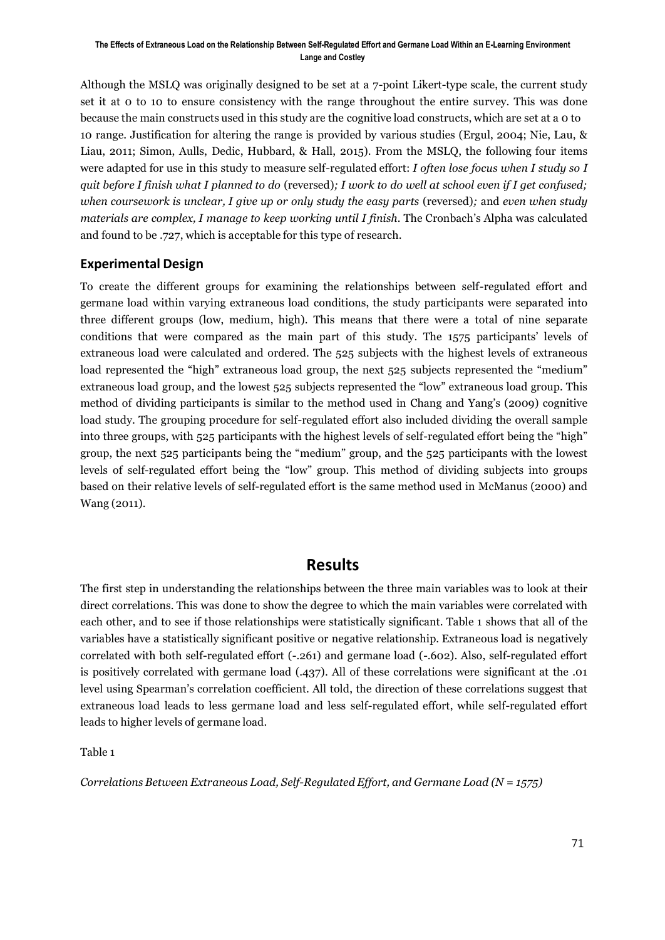Although the MSLQ was originally designed to be set at a 7-point Likert-type scale, the current study set it at 0 to 10 to ensure consistency with the range throughout the entire survey. This was done because the main constructs used in this study are the cognitive load constructs, which are set at a 0 to 10 range. Justification for altering the range is provided by various studies (Ergul, 2004; Nie, Lau, & Liau, 2011; Simon, Aulls, Dedic, Hubbard, & Hall, 2015). From the MSLQ, the following four items were adapted for use in this study to measure self-regulated effort: *I often lose focus when I study so I quit before I finish what I planned to do* (reversed)*; I work to do well at school even if I get confused; when coursework is unclear, I give up or only study the easy parts* (reversed)*;* and *even when study materials are complex, I manage to keep working until I finish.* The Cronbach's Alpha was calculated and found to be .727, which is acceptable for this type of research.

### **Experimental Design**

To create the different groups for examining the relationships between self-regulated effort and germane load within varying extraneous load conditions, the study participants were separated into three different groups (low, medium, high). This means that there were a total of nine separate conditions that were compared as the main part of this study. The 1575 participants' levels of extraneous load were calculated and ordered. The 525 subjects with the highest levels of extraneous load represented the "high" extraneous load group, the next 525 subjects represented the "medium" extraneous load group, and the lowest 525 subjects represented the "low" extraneous load group. This method of dividing participants is similar to the method used in Chang and Yang's (2009) cognitive load study. The grouping procedure for self-regulated effort also included dividing the overall sample into three groups, with 525 participants with the highest levels of self-regulated effort being the "high" group, the next 525 participants being the "medium" group, and the 525 participants with the lowest levels of self-regulated effort being the "low" group. This method of dividing subjects into groups based on their relative levels of self-regulated effort is the same method used in McManus (2000) and Wang (2011).

### **Results**

The first step in understanding the relationships between the three main variables was to look at their direct correlations. This was done to show the degree to which the main variables were correlated with each other, and to see if those relationships were statistically significant. Table 1 shows that all of the variables have a statistically significant positive or negative relationship. Extraneous load is negatively correlated with both self-regulated effort (-.261) and germane load (-.602). Also, self-regulated effort is positively correlated with germane load (.437). All of these correlations were significant at the .01 level using Spearman's correlation coefficient. All told, the direction of these correlations suggest that extraneous load leads to less germane load and less self-regulated effort, while self-regulated effort leads to higher levels of germane load.

Table 1

*Correlations Between Extraneous Load, Self-Regulated Effort, and Germane Load (N = 1575)*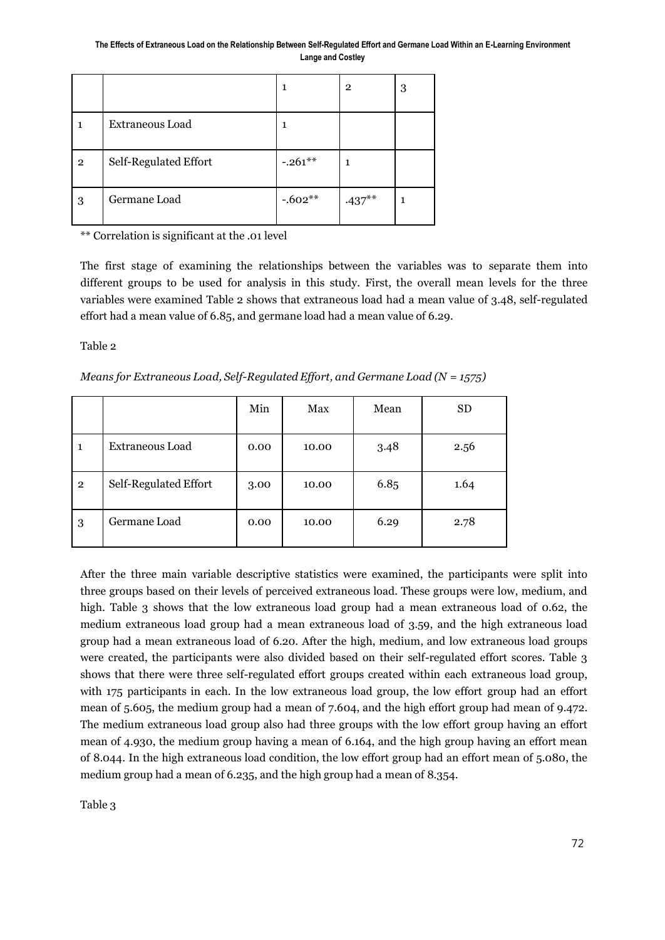|                |                        |           | $\mathbf{2}$ | 3 |
|----------------|------------------------|-----------|--------------|---|
|                | <b>Extraneous Load</b> |           |              |   |
| $\overline{2}$ | Self-Regulated Effort  | $-.261**$ | 1            |   |
| 3              | Germane Load           | $-.602**$ | $.437***$    | 1 |

\*\* Correlation is significant at the .01 level

The first stage of examining the relationships between the variables was to separate them into different groups to be used for analysis in this study. First, the overall mean levels for the three variables were examined Table 2 shows that extraneous load had a mean value of 3.48, self-regulated effort had a mean value of 6.85, and germane load had a mean value of 6.29.

Table 2

*Means for Extraneous Load, Self-Regulated Effort, and Germane Load (N = 1575)*

|                |                       | Min  | Max   | Mean | <b>SD</b> |
|----------------|-----------------------|------|-------|------|-----------|
| $\mathbf{1}$   | Extraneous Load       | 0.00 | 10.00 | 3.48 | 2.56      |
| $\overline{2}$ | Self-Regulated Effort | 3.00 | 10.00 | 6.85 | 1.64      |
| 3              | Germane Load          | 0.00 | 10.00 | 6.29 | 2.78      |

After the three main variable descriptive statistics were examined, the participants were split into three groups based on their levels of perceived extraneous load. These groups were low, medium, and high. Table 3 shows that the low extraneous load group had a mean extraneous load of 0.62, the medium extraneous load group had a mean extraneous load of 3.59, and the high extraneous load group had a mean extraneous load of 6.20. After the high, medium, and low extraneous load groups were created, the participants were also divided based on their self-regulated effort scores. Table 3 shows that there were three self-regulated effort groups created within each extraneous load group, with 175 participants in each. In the low extraneous load group, the low effort group had an effort mean of 5.605, the medium group had a mean of 7.604, and the high effort group had mean of 9.472. The medium extraneous load group also had three groups with the low effort group having an effort mean of 4.930, the medium group having a mean of 6.164, and the high group having an effort mean of 8.044. In the high extraneous load condition, the low effort group had an effort mean of 5.080, the medium group had a mean of 6.235, and the high group had a mean of 8.354.

Table 3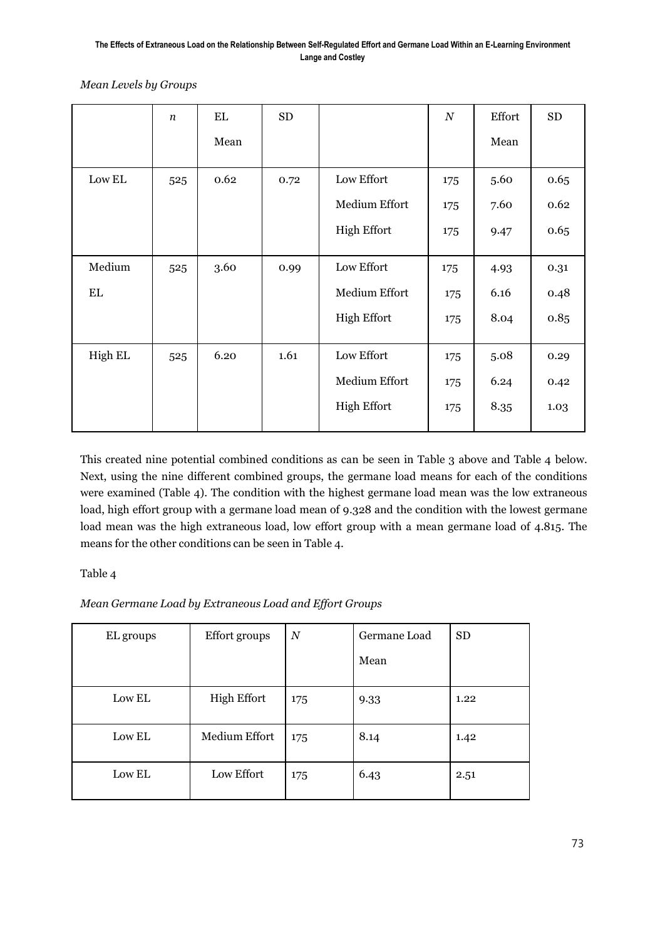*Mean Levels by Groups*

|         | $\boldsymbol{n}$ | EL   | <b>SD</b> |                    | $\,N$ | Effort | ${\rm SD}$ |
|---------|------------------|------|-----------|--------------------|-------|--------|------------|
|         |                  | Mean |           |                    |       | Mean   |            |
| Low EL  | 525              | 0.62 | 0.72      | Low Effort         | 175   | 5.60   | 0.65       |
|         |                  |      |           | Medium Effort      | 175   | 7.60   | 0.62       |
|         |                  |      |           | <b>High Effort</b> | 175   | 9.47   | 0.65       |
| Medium  | 525              | 3.60 | 0.99      | Low Effort         | 175   | 4.93   | 0.31       |
| EL      |                  |      |           | Medium Effort      | 175   | 6.16   | 0.48       |
|         |                  |      |           | <b>High Effort</b> | 175   | 8.04   | 0.85       |
| High EL | 525              | 6.20 | 1.61      | Low Effort         | 175   | 5.08   | 0.29       |
|         |                  |      |           | Medium Effort      | 175   | 6.24   | 0.42       |
|         |                  |      |           | <b>High Effort</b> | 175   | 8.35   | 1.03       |

This created nine potential combined conditions as can be seen in Table 3 above and Table 4 below. Next, using the nine different combined groups, the germane load means for each of the conditions were examined (Table 4). The condition with the highest germane load mean was the low extraneous load, high effort group with a germane load mean of 9.328 and the condition with the lowest germane load mean was the high extraneous load, low effort group with a mean germane load of 4.815. The means for the other conditions can be seen in Table 4.

### Table 4

*Mean Germane Load by Extraneous Load and Effort Groups*

| EL groups | Effort groups      | $\boldsymbol{N}$ | Germane Load | <b>SD</b> |
|-----------|--------------------|------------------|--------------|-----------|
|           |                    |                  | Mean         |           |
| Low EL    | <b>High Effort</b> | 175              | 9.33         | 1.22      |
| Low EL    | Medium Effort      | 175              | 8.14         | 1.42      |
| Low EL    | Low Effort         | 175              | 6.43         | 2.51      |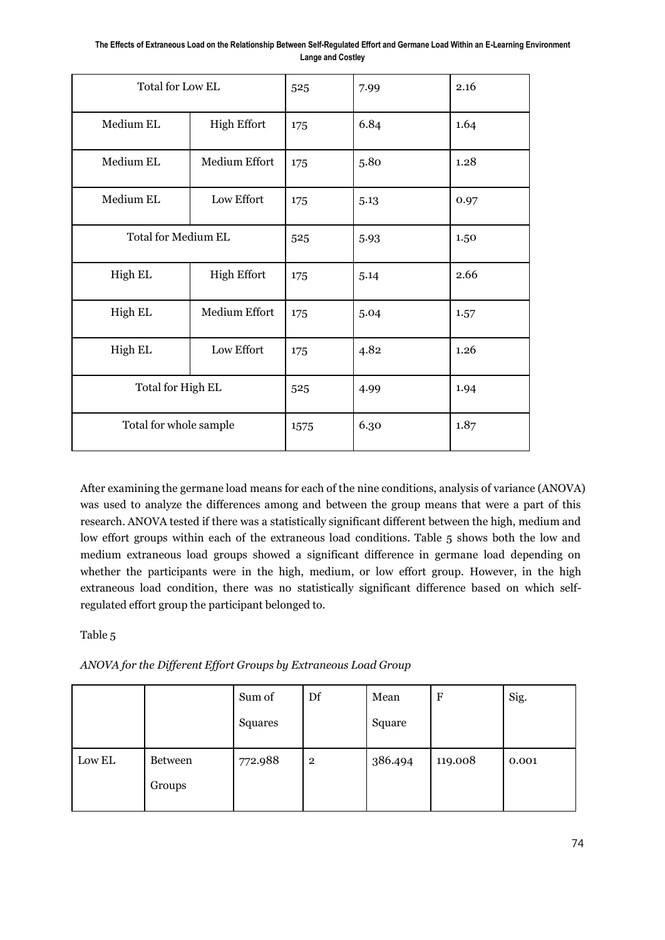**The Effects of Extraneous Load on the Relationship Between Self-Regulated Effort and Germane Load Within an E-Learning Environment Lange and Costley**

| Total for Low EL       |                            | 525  | 7.99 | 2.16 |
|------------------------|----------------------------|------|------|------|
| Medium EL              | <b>High Effort</b>         | 175  | 6.84 | 1.64 |
| Medium EL              | Medium Effort              | 175  | 5.80 | 1.28 |
| Medium EL              | Low Effort                 | 175  | 5.13 | 0.97 |
|                        | <b>Total for Medium EL</b> |      | 5.93 | 1.50 |
| High EL                | <b>High Effort</b>         | 175  | 5.14 | 2.66 |
| High EL                | Medium Effort              | 175  | 5.04 | 1.57 |
| High EL                | Low Effort                 | 175  | 4.82 | 1.26 |
| Total for High EL      |                            | 525  | 4.99 | 1.94 |
| Total for whole sample |                            | 1575 | 6.30 | 1.87 |

After examining the germane load means for each of the nine conditions, analysis of variance (ANOVA) was used to analyze the differences among and between the group means that were a part of this research. ANOVA tested if there was a statistically significant different between the high, medium and low effort groups within each of the extraneous load conditions. Table 5 shows both the low and medium extraneous load groups showed a significant difference in germane load depending on whether the participants were in the high, medium, or low effort group. However, in the high extraneous load condition, there was no statistically significant difference based on which selfregulated effort group the participant belonged to.

Table 5

*ANOVA for the Different Effort Groups by Extraneous Load Group*

|        |                | Sum of  | Df             | Mean    | $\mathbf F$ | Sig.  |
|--------|----------------|---------|----------------|---------|-------------|-------|
|        |                | Squares |                | Square  |             |       |
| Low EL | <b>Between</b> | 772.988 | $\overline{2}$ | 386.494 | 119.008     | 0.001 |
|        | Groups         |         |                |         |             |       |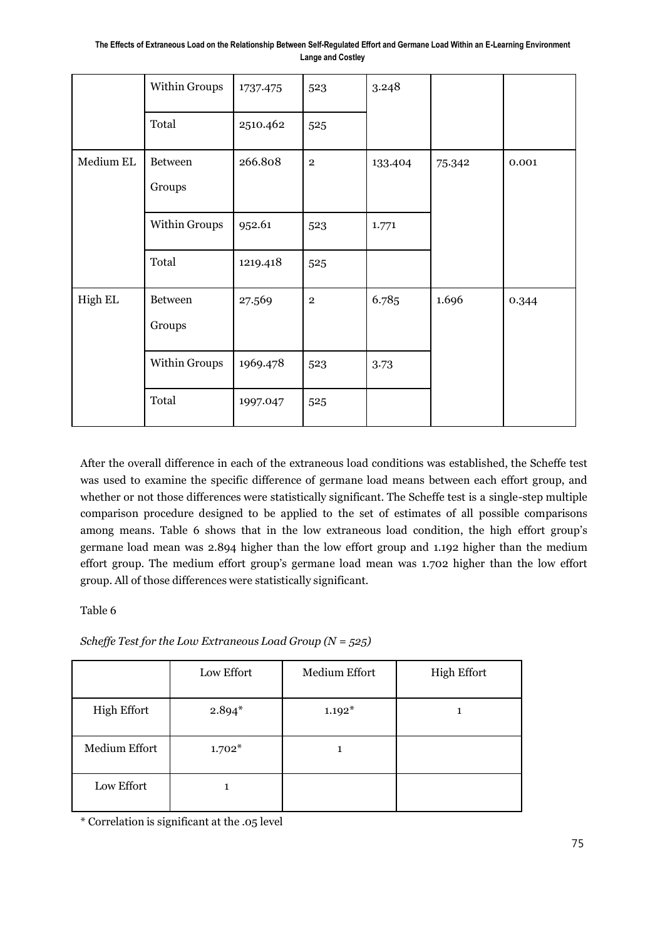**The Effects of Extraneous Load on the Relationship Between Self-Regulated Effort and Germane Load Within an E-Learning Environment Lange and Costley**

|           | Within Groups            | 1737.475 | 523         | 3.248   |        |       |
|-----------|--------------------------|----------|-------------|---------|--------|-------|
|           | Total                    | 2510.462 | 525         |         |        |       |
| Medium EL | <b>Between</b><br>Groups | 266.808  | $\mathbf 2$ | 133.404 | 75.342 | 0.001 |
|           | Within Groups            | 952.61   | 523         | 1.771   |        |       |
|           | Total                    | 1219.418 | 525         |         |        |       |
| High EL   | <b>Between</b><br>Groups | 27.569   | $\,2$       | 6.785   | 1.696  | 0.344 |
|           | Within Groups            | 1969.478 | 523         | 3.73    |        |       |
|           | Total                    | 1997.047 | 525         |         |        |       |

After the overall difference in each of the extraneous load conditions was established, the Scheffe test was used to examine the specific difference of germane load means between each effort group, and whether or not those differences were statistically significant. The Scheffe test is a single-step multiple comparison procedure designed to be applied to the set of estimates of all possible comparisons among means. Table 6 shows that in the low extraneous load condition, the high effort group's germane load mean was 2.894 higher than the low effort group and 1.192 higher than the medium effort group. The medium effort group's germane load mean was 1.702 higher than the low effort group. All of those differences were statistically significant.

Table 6

|  | Scheffe Test for the Low Extraneous Load Group ( $N = 525$ ) |  |
|--|--------------------------------------------------------------|--|
|--|--------------------------------------------------------------|--|

|                    | Low Effort | Medium Effort | <b>High Effort</b> |
|--------------------|------------|---------------|--------------------|
| <b>High Effort</b> | $2.894*$   | $1.192*$      |                    |
| Medium Effort      | $1.702*$   |               |                    |
| Low Effort         |            |               |                    |

\* Correlation is significant at the .05 level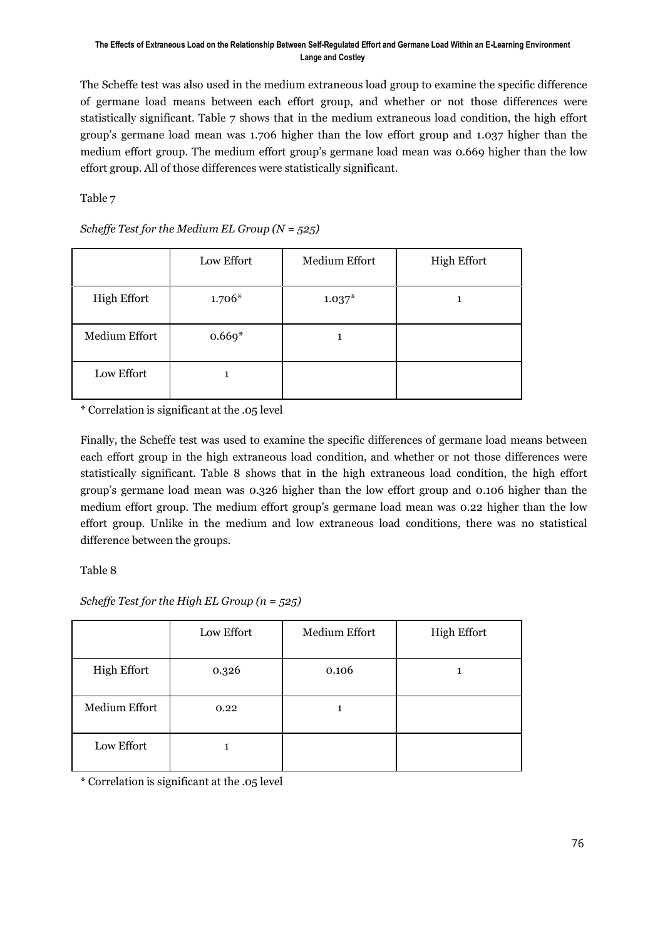The Scheffe test was also used in the medium extraneous load group to examine the specific difference of germane load means between each effort group, and whether or not those differences were statistically significant. Table 7 shows that in the medium extraneous load condition, the high effort group's germane load mean was 1.706 higher than the low effort group and 1.037 higher than the medium effort group. The medium effort group's germane load mean was 0.669 higher than the low effort group. All of those differences were statistically significant.

Table 7

|                    | Low Effort | Medium Effort | <b>High Effort</b> |
|--------------------|------------|---------------|--------------------|
| <b>High Effort</b> | $1.706*$   | $1.037*$      | 1                  |
| Medium Effort      | $0.669*$   |               |                    |
| Low Effort         |            |               |                    |

*Scheffe Test for the Medium EL Group (N = 525)*

\* Correlation is significant at the .05 level

Finally, the Scheffe test was used to examine the specific differences of germane load means between each effort group in the high extraneous load condition, and whether or not those differences were statistically significant. Table 8 shows that in the high extraneous load condition, the high effort group's germane load mean was 0.326 higher than the low effort group and 0.106 higher than the medium effort group. The medium effort group's germane load mean was 0.22 higher than the low effort group. Unlike in the medium and low extraneous load conditions, there was no statistical difference between the groups.

Table 8

*Scheffe Test for the High EL Group (n = 525)*

|                    | Low Effort | Medium Effort | <b>High Effort</b> |
|--------------------|------------|---------------|--------------------|
| <b>High Effort</b> | 0.326      | 0.106         |                    |
| Medium Effort      | 0.22       | 1             |                    |
| Low Effort         |            |               |                    |

\* Correlation is significant at the .05 level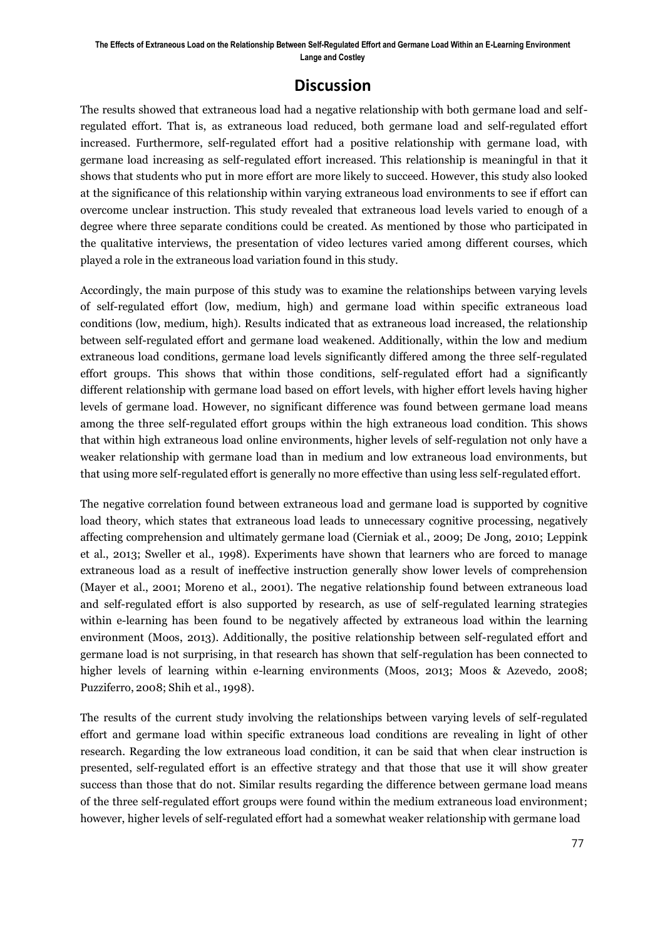## **Discussion**

The results showed that extraneous load had a negative relationship with both germane load and selfregulated effort. That is, as extraneous load reduced, both germane load and self-regulated effort increased. Furthermore, self-regulated effort had a positive relationship with germane load, with germane load increasing as self-regulated effort increased. This relationship is meaningful in that it shows that students who put in more effort are more likely to succeed. However, this study also looked at the significance of this relationship within varying extraneous load environments to see if effort can overcome unclear instruction. This study revealed that extraneous load levels varied to enough of a degree where three separate conditions could be created. As mentioned by those who participated in the qualitative interviews, the presentation of video lectures varied among different courses, which played a role in the extraneous load variation found in this study.

Accordingly, the main purpose of this study was to examine the relationships between varying levels of self-regulated effort (low, medium, high) and germane load within specific extraneous load conditions (low, medium, high). Results indicated that as extraneous load increased, the relationship between self-regulated effort and germane load weakened. Additionally, within the low and medium extraneous load conditions, germane load levels significantly differed among the three self-regulated effort groups. This shows that within those conditions, self-regulated effort had a significantly different relationship with germane load based on effort levels, with higher effort levels having higher levels of germane load. However, no significant difference was found between germane load means among the three self-regulated effort groups within the high extraneous load condition. This shows that within high extraneous load online environments, higher levels of self-regulation not only have a weaker relationship with germane load than in medium and low extraneous load environments, but that using more self-regulated effort is generally no more effective than using less self-regulated effort.

The negative correlation found between extraneous load and germane load is supported by cognitive load theory, which states that extraneous load leads to unnecessary cognitive processing, negatively affecting comprehension and ultimately germane load (Cierniak et al., 2009; De Jong, 2010; Leppink et al., 2013; Sweller et al., 1998). Experiments have shown that learners who are forced to manage extraneous load as a result of ineffective instruction generally show lower levels of comprehension (Mayer et al., 2001; Moreno et al., 2001). The negative relationship found between extraneous load and self-regulated effort is also supported by research, as use of self-regulated learning strategies within e-learning has been found to be negatively affected by extraneous load within the learning environment (Moos, 2013). Additionally, the positive relationship between self-regulated effort and germane load is not surprising, in that research has shown that self-regulation has been connected to higher levels of learning within e-learning environments (Moos, 2013; Moos & Azevedo, 2008; Puzziferro, 2008; Shih et al., 1998).

The results of the current study involving the relationships between varying levels of self-regulated effort and germane load within specific extraneous load conditions are revealing in light of other research. Regarding the low extraneous load condition, it can be said that when clear instruction is presented, self-regulated effort is an effective strategy and that those that use it will show greater success than those that do not. Similar results regarding the difference between germane load means of the three self-regulated effort groups were found within the medium extraneous load environment; however, higher levels of self-regulated effort had a somewhat weaker relationship with germane load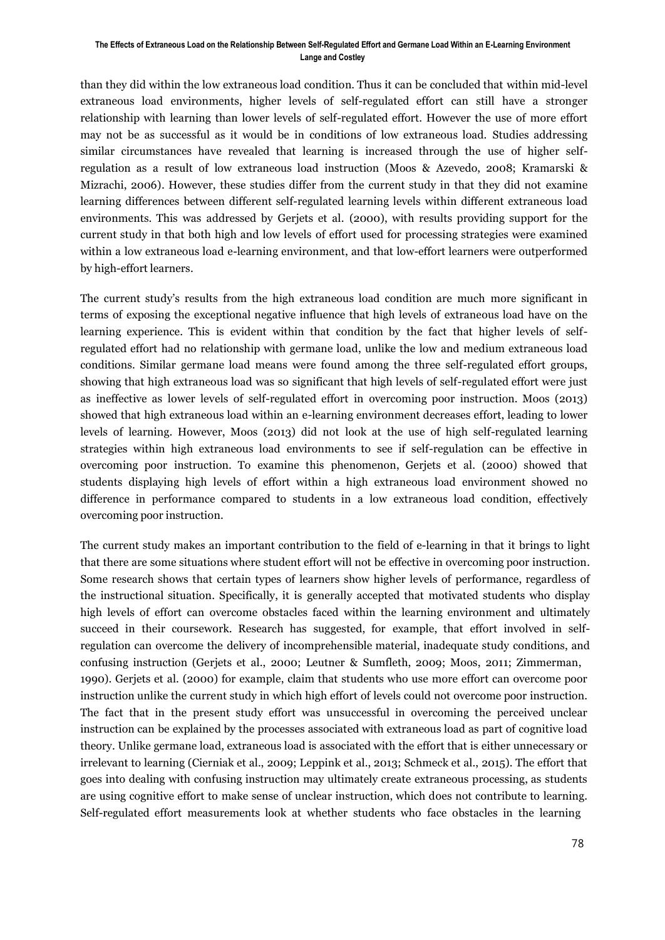than they did within the low extraneous load condition. Thus it can be concluded that within mid-level extraneous load environments, higher levels of self-regulated effort can still have a stronger relationship with learning than lower levels of self-regulated effort. However the use of more effort may not be as successful as it would be in conditions of low extraneous load. Studies addressing similar circumstances have revealed that learning is increased through the use of higher selfregulation as a result of low extraneous load instruction (Moos & Azevedo, 2008; Kramarski & Mizrachi, 2006). However, these studies differ from the current study in that they did not examine learning differences between different self-regulated learning levels within different extraneous load environments. This was addressed by Gerjets et al. (2000), with results providing support for the current study in that both high and low levels of effort used for processing strategies were examined within a low extraneous load e-learning environment, and that low-effort learners were outperformed by high-effort learners.

The current study's results from the high extraneous load condition are much more significant in terms of exposing the exceptional negative influence that high levels of extraneous load have on the learning experience. This is evident within that condition by the fact that higher levels of selfregulated effort had no relationship with germane load, unlike the low and medium extraneous load conditions. Similar germane load means were found among the three self-regulated effort groups, showing that high extraneous load was so significant that high levels of self-regulated effort were just as ineffective as lower levels of self-regulated effort in overcoming poor instruction. Moos (2013) showed that high extraneous load within an e-learning environment decreases effort, leading to lower levels of learning. However, Moos (2013) did not look at the use of high self-regulated learning strategies within high extraneous load environments to see if self-regulation can be effective in overcoming poor instruction. To examine this phenomenon, Gerjets et al. (2000) showed that students displaying high levels of effort within a high extraneous load environment showed no difference in performance compared to students in a low extraneous load condition, effectively overcoming poor instruction.

The current study makes an important contribution to the field of e-learning in that it brings to light that there are some situations where student effort will not be effective in overcoming poor instruction. Some research shows that certain types of learners show higher levels of performance, regardless of the instructional situation. Specifically, it is generally accepted that motivated students who display high levels of effort can overcome obstacles faced within the learning environment and ultimately succeed in their coursework. Research has suggested, for example, that effort involved in selfregulation can overcome the delivery of incomprehensible material, inadequate study conditions, and confusing instruction (Gerjets et al., 2000; Leutner & Sumfleth, 2009; Moos, 2011; Zimmerman, 1990). Gerjets et al. (2000) for example, claim that students who use more effort can overcome poor instruction unlike the current study in which high effort of levels could not overcome poor instruction. The fact that in the present study effort was unsuccessful in overcoming the perceived unclear instruction can be explained by the processes associated with extraneous load as part of cognitive load theory. Unlike germane load, extraneous load is associated with the effort that is either unnecessary or irrelevant to learning (Cierniak et al., 2009; Leppink et al., 2013; Schmeck et al., 2015). The effort that goes into dealing with confusing instruction may ultimately create extraneous processing, as students are using cognitive effort to make sense of unclear instruction, which does not contribute to learning. Self-regulated effort measurements look at whether students who face obstacles in the learning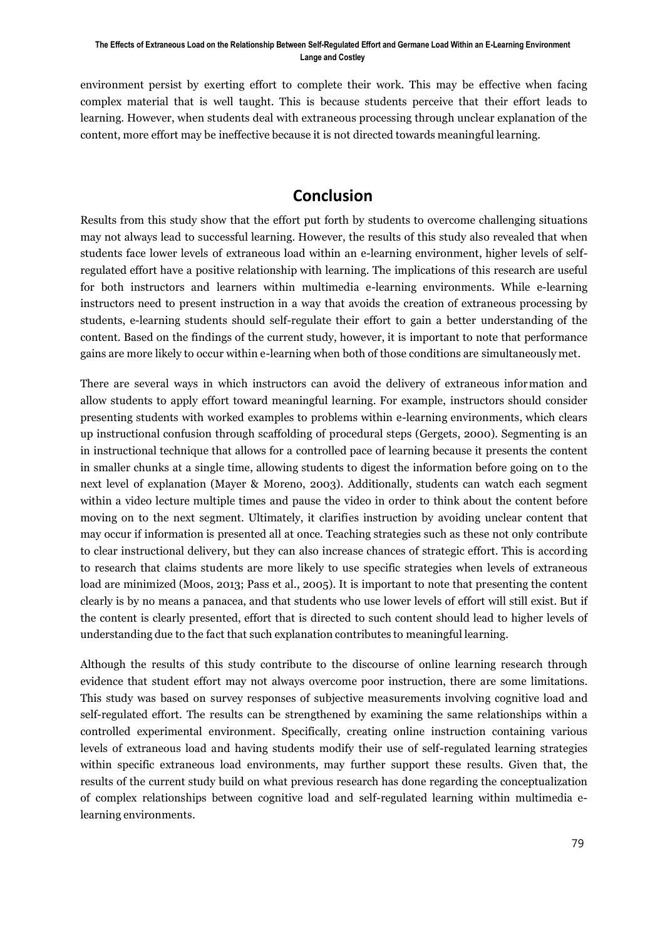environment persist by exerting effort to complete their work. This may be effective when facing complex material that is well taught. This is because students perceive that their effort leads to learning. However, when students deal with extraneous processing through unclear explanation of the content, more effort may be ineffective because it is not directed towards meaningful learning.

## **Conclusion**

Results from this study show that the effort put forth by students to overcome challenging situations may not always lead to successful learning. However, the results of this study also revealed that when students face lower levels of extraneous load within an e-learning environment, higher levels of selfregulated effort have a positive relationship with learning. The implications of this research are useful for both instructors and learners within multimedia e-learning environments. While e-learning instructors need to present instruction in a way that avoids the creation of extraneous processing by students, e-learning students should self-regulate their effort to gain a better understanding of the content. Based on the findings of the current study, however, it is important to note that performance gains are more likely to occur within e-learning when both of those conditions are simultaneously met.

There are several ways in which instructors can avoid the delivery of extraneous information and allow students to apply effort toward meaningful learning. For example, instructors should consider presenting students with worked examples to problems within e-learning environments, which clears up instructional confusion through scaffolding of procedural steps (Gergets, 2000). Segmenting is an in instructional technique that allows for a controlled pace of learning because it presents the content in smaller chunks at a single time, allowing students to digest the information before going on to the next level of explanation (Mayer & Moreno, 2003). Additionally, students can watch each segment within a video lecture multiple times and pause the video in order to think about the content before moving on to the next segment. Ultimately, it clarifies instruction by avoiding unclear content that may occur if information is presented all at once. Teaching strategies such as these not only contribute to clear instructional delivery, but they can also increase chances of strategic effort. This is according to research that claims students are more likely to use specific strategies when levels of extraneous load are minimized (Moos, 2013; Pass et al., 2005). It is important to note that presenting the content clearly is by no means a panacea, and that students who use lower levels of effort will still exist. But if the content is clearly presented, effort that is directed to such content should lead to higher levels of understanding due to the fact that such explanation contributes to meaningful learning.

Although the results of this study contribute to the discourse of online learning research through evidence that student effort may not always overcome poor instruction, there are some limitations. This study was based on survey responses of subjective measurements involving cognitive load and self-regulated effort. The results can be strengthened by examining the same relationships within a controlled experimental environment. Specifically, creating online instruction containing various levels of extraneous load and having students modify their use of self-regulated learning strategies within specific extraneous load environments, may further support these results. Given that, the results of the current study build on what previous research has done regarding the conceptualization of complex relationships between cognitive load and self-regulated learning within multimedia elearning environments.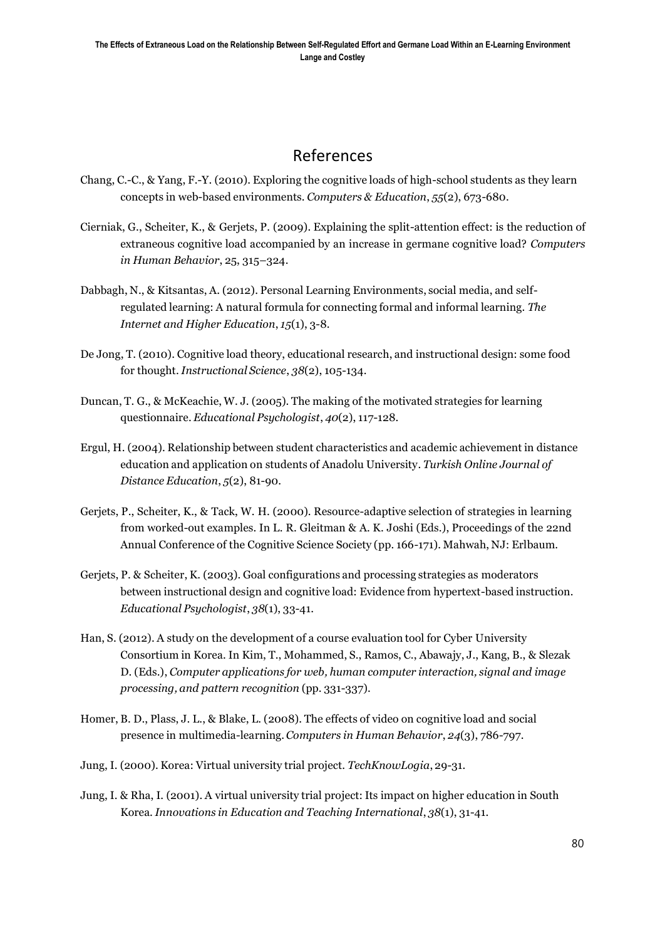## References

- Chang, C.-C., & Yang, F.-Y. (2010). Exploring the cognitive loads of high-school students as they learn concepts in web-based environments. *Computers & Education*, *55*(2), 673-680.
- Cierniak, G., Scheiter, K., & Gerjets, P. (2009). Explaining the split-attention effect: is the reduction of extraneous cognitive load accompanied by an increase in germane cognitive load? *Computers in Human Behavior*, 25, 315–324.
- Dabbagh, N., & Kitsantas, A. (2012). Personal Learning Environments, social media, and selfregulated learning: A natural formula for connecting formal and informal learning. *The Internet and Higher Education*, *15*(1), 3-8.
- De Jong, T. (2010). Cognitive load theory, educational research, and instructional design: some food for thought. *Instructional Science*, *38*(2), 105-134.
- Duncan, T. G., & McKeachie, W. J. (2005). The making of the motivated strategies for learning questionnaire. *Educational Psychologist*, *40*(2), 117-128.
- Ergul, H. (2004). Relationship between student characteristics and academic achievement in distance education and application on students of Anadolu University. *Turkish Online Journal of Distance Education*, *5*(2), 81-90.
- Gerjets, P., Scheiter, K., & Tack, W. H. (2000). Resource-adaptive selection of strategies in learning from worked-out examples. In L. R. Gleitman & A. K. Joshi (Eds.), Proceedings of the 22nd Annual Conference of the Cognitive Science Society (pp. 166-171). Mahwah, NJ: Erlbaum.
- Gerjets, P. & Scheiter, K. (2003). Goal configurations and processing strategies as moderators between instructional design and cognitive load: Evidence from hypertext-based instruction. *Educational Psychologist*, *38*(1), 33-41.
- Han, S. (2012). A study on the development of a course evaluation tool for Cyber University Consortium in Korea. In Kim, T., Mohammed, S., Ramos, C., Abawajy, J., Kang, B., & Slezak D. (Eds.), *Computer applications for web, human computer interaction, signal and image processing, and pattern recognition* (pp. 331-337).
- Homer, B. D., Plass, J. L., & Blake, L. (2008). The effects of video on cognitive load and social presence in multimedia-learning.*Computers in Human Behavior*, *24*(3), 786-797.
- Jung, I. (2000). Korea: Virtual university trial project. *TechKnowLogia*, 29-31.
- Jung, I. & Rha, I. (2001). A virtual university trial project: Its impact on higher education in South Korea. *Innovations in Education and Teaching International*, *38*(1), 31-41.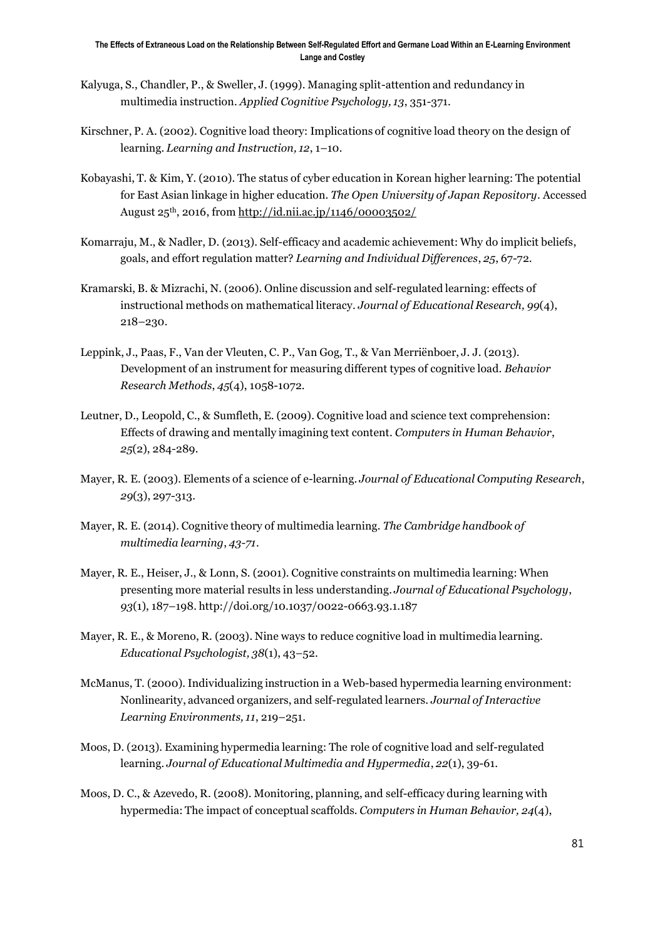- Kalyuga, S., Chandler, P., & Sweller, J. (1999). Managing split-attention and redundancy in multimedia instruction. *Applied Cognitive Psychology, 13*, 351-371.
- Kirschner, P. A. (2002). Cognitive load theory: Implications of cognitive load theory on the design of learning. *Learning and Instruction, 12*, 1–10.
- Kobayashi, T. & Kim, Y. (2010). The status of cyber education in Korean higher learning: The potential for East Asian linkage in higher education. *The Open University of Japan Repository*. Accessed August 25th, 2016, from <http://id.nii.ac.jp/1146/00003502/>
- Komarraju, M., & Nadler, D. (2013). Self-efficacy and academic achievement: Why do implicit beliefs, goals, and effort regulation matter? *Learning and Individual Differences*, *25*, 67-72.
- Kramarski, B. & Mizrachi, N. (2006). Online discussion and self-regulated learning: effects of instructional methods on mathematical literacy. *Journal of Educational Research, 99*(4), 218–230.
- Leppink, J., Paas, F., Van der Vleuten, C. P., Van Gog, T., & Van Merriënboer, J. J. (2013). Development of an instrument for measuring different types of cognitive load. *Behavior Research Methods*, *45*(4), 1058-1072.
- Leutner, D., Leopold, C., & Sumfleth, E. (2009). Cognitive load and science text comprehension: Effects of drawing and mentally imagining text content. *Computers in Human Behavior*, *25*(2), 284-289.
- Mayer, R. E. (2003). Elements of a science of e-learning. *Journal of Educational Computing Research*, *29*(3), 297-313.
- Mayer, R. E. (2014). Cognitive theory of multimedia learning. *The Cambridge handbook of multimedia learning*, *43-71*.
- Mayer, R. E., Heiser, J., & Lonn, S. (2001). Cognitive constraints on multimedia learning: When presenting more material results in less understanding. *Journal of Educational Psychology*, *93*(1), 187–198. <http://doi.org/10.1037/0022-0663.93.1.187>
- Mayer, R. E., & Moreno, R. (2003). Nine ways to reduce cognitive load in multimedia learning. *Educational Psychologist, 38*(1), 43–52.
- McManus, T. (2000). Individualizing instruction in a Web-based hypermedia learning environment: Nonlinearity, advanced organizers, and self-regulated learners. *Journal of Interactive Learning Environments, 11*, 219–251.
- Moos, D. (2013). Examining hypermedia learning: The role of cognitive load and self-regulated learning. *Journal of Educational Multimedia and Hypermedia*, *22*(1), 39-61.
- Moos, D. C., & Azevedo, R. (2008). Monitoring, planning, and self-efficacy during learning with hypermedia: The impact of conceptual scaffolds. *Computers in Human Behavior, 24*(4),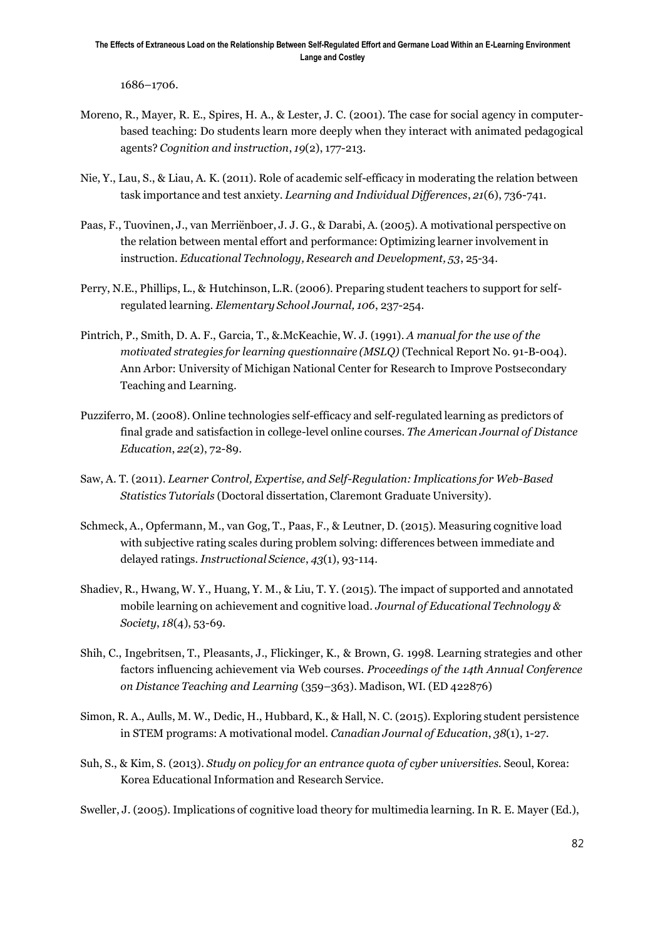1686–1706.

- Moreno, R., Mayer, R. E., Spires, H. A., & Lester, J. C. (2001). The case for social agency in computerbased teaching: Do students learn more deeply when they interact with animated pedagogical agents? *Cognition and instruction*, *19*(2), 177-213.
- Nie, Y., Lau, S., & Liau, A. K. (2011). Role of academic self-efficacy in moderating the relation between task importance and test anxiety. *Learning and Individual Differences*, *21*(6), 736-741.
- Paas, F., Tuovinen, J., van Merriënboer, J. J. G., & Darabi, A. (2005). A motivational perspective on the relation between mental effort and performance: Optimizing learner involvement in instruction. *Educational Technology, Research and Development, 53*, 25-34.
- Perry, N.E., Phillips, L., & Hutchinson, L.R. (2006). Preparing student teachers to support for selfregulated learning. *Elementary School Journal, 106*, 237-254.
- Pintrich, P., Smith, D. A. F., Garcia, T., &.McKeachie, W. J. (1991). *A manual for the use of the motivated strategies for learning questionnaire (MSLQ)* (Technical Report No. 91-B-004). Ann Arbor: University of Michigan National Center for Research to Improve Postsecondary Teaching and Learning.
- Puzziferro, M. (2008). Online technologies self-efficacy and self-regulated learning as predictors of final grade and satisfaction in college-level online courses. *The American Journal of Distance Education*, *22*(2), 72-89.
- Saw, A. T. (2011). *Learner Control, Expertise, and Self-Regulation:Implications for Web-Based Statistics Tutorials* (Doctoral dissertation, Claremont Graduate University).
- Schmeck, A., Opfermann, M., van Gog, T., Paas, F., & Leutner, D. (2015). Measuring cognitive load with subjective rating scales during problem solving: differences between immediate and delayed ratings. *Instructional Science*, *43*(1), 93-114.
- Shadiev, R., Hwang, W. Y., Huang, Y. M., & Liu, T. Y. (2015). The impact of supported and annotated mobile learning on achievement and cognitive load. *Journal of Educational Technology & Society*, *18*(4), 53-69.
- Shih, C., Ingebritsen, T., Pleasants, J., Flickinger, K., & Brown, G. 1998. Learning strategies and other factors influencing achievement via Web courses. *Proceedings of the 14th Annual Conference on Distance Teaching and Learning* (359–363). Madison, WI. (ED 422876)
- Simon, R. A., Aulls, M. W., Dedic, H., Hubbard, K., & Hall, N. C. (2015). Exploring student persistence in STEM programs: A motivational model. *Canadian Journal of Education*, *38*(1), 1-27.
- Suh, S., & Kim, S. (2013). *Study on policy for an entrance quota of cyber universities.* Seoul, Korea: Korea Educational Information and Research Service.

Sweller, J. (2005). Implications of cognitive load theory for multimedia learning. In R. E. Mayer (Ed.),